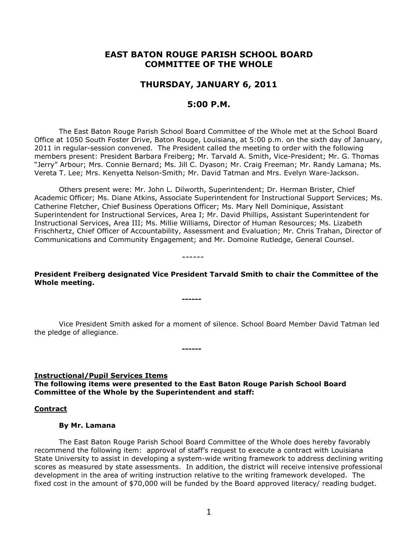# **EAST BATON ROUGE PARISH SCHOOL BOARD COMMITTEE OF THE WHOLE**

## **THURSDAY, JANUARY 6, 2011**

## **5:00 P.M.**

The East Baton Rouge Parish School Board Committee of the Whole met at the School Board Office at 1050 South Foster Drive, Baton Rouge, Louisiana, at 5:00 p.m. on the sixth day of January, 2011 in regular-session convened. The President called the meeting to order with the following members present: President Barbara Freiberg; Mr. Tarvald A. Smith, Vice-President; Mr. G. Thomas "Jerry" Arbour; Mrs. Connie Bernard; Ms. Jill C. Dyason; Mr. Craig Freeman; Mr. Randy Lamana; Ms. Vereta T. Lee; Mrs. Kenyetta Nelson-Smith; Mr. David Tatman and Mrs. Evelyn Ware-Jackson.

Others present were: Mr. John L. Dilworth, Superintendent; Dr. Herman Brister, Chief Academic Officer; Ms. Diane Atkins, Associate Superintendent for Instructional Support Services; Ms. Catherine Fletcher, Chief Business Operations Officer; Ms. Mary Nell Dominique, Assistant Superintendent for Instructional Services, Area I; Mr. David Phillips, Assistant Superintendent for Instructional Services, Area III; Ms. Millie Williams, Director of Human Resources; Ms. Lizabeth Frischhertz, Chief Officer of Accountability, Assessment and Evaluation; Mr. Chris Trahan, Director of Communications and Community Engagement; and Mr. Domoine Rutledge, General Counsel.

------

**------**

**President Freiberg designated Vice President Tarvald Smith to chair the Committee of the Whole meeting.**

Vice President Smith asked for a moment of silence. School Board Member David Tatman led the pledge of allegiance.

**Instructional/Pupil Services Items**

**The following items were presented to the East Baton Rouge Parish School Board Committee of the Whole by the Superintendent and staff:**

**------**

#### **Contract**

#### **By Mr. Lamana**

The East Baton Rouge Parish School Board Committee of the Whole does hereby favorably recommend the following item: approval of staff's request to execute a contract with Louisiana State University to assist in developing a system-wide writing framework to address declining writing scores as measured by state assessments. In addition, the district will receive intensive professional development in the area of writing instruction relative to the writing framework developed. The fixed cost in the amount of \$70,000 will be funded by the Board approved literacy/ reading budget.